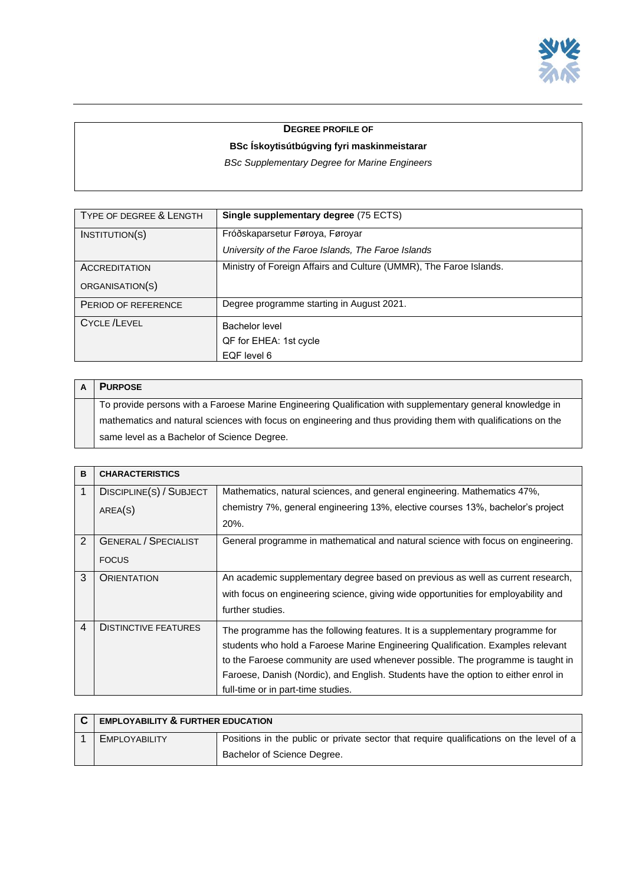

## **DEGREE PROFILE OF**

## **BSc Ískoytisútbúgving fyri maskinmeistarar**

*BSc Supplementary Degree for Marine Engineers*

| TYPE OF DEGREE & LENGTH | Single supplementary degree (75 ECTS)                              |
|-------------------------|--------------------------------------------------------------------|
| INSTITUTION(S)          | Fróðskaparsetur Føroya, Føroyar                                    |
|                         | University of the Faroe Islands, The Faroe Islands                 |
| <b>ACCREDITATION</b>    | Ministry of Foreign Affairs and Culture (UMMR), The Faroe Islands. |
| ORGANISATION(S)         |                                                                    |
| PERIOD OF REFERENCE     | Degree programme starting in August 2021.                          |
| <b>CYCLE /LEVEL</b>     | Bachelor level                                                     |
|                         | QF for EHEA: 1st cycle                                             |
|                         | EQF level 6                                                        |

| <b>PURPOSE</b>                                                                                                |
|---------------------------------------------------------------------------------------------------------------|
| To provide persons with a Faroese Marine Engineering Qualification with supplementary general knowledge in    |
| mathematics and natural sciences with focus on engineering and thus providing them with qualifications on the |
| same level as a Bachelor of Science Degree.                                                                   |

| B              | <b>CHARACTERISTICS</b>      |                                                                                    |
|----------------|-----------------------------|------------------------------------------------------------------------------------|
| 1              | DISCIPLINE(S) / SUBJECT     | Mathematics, natural sciences, and general engineering. Mathematics 47%,           |
|                | AREA(S)                     | chemistry 7%, general engineering 13%, elective courses 13%, bachelor's project    |
|                |                             | 20%.                                                                               |
| 2              | <b>GENERAL / SPECIALIST</b> | General programme in mathematical and natural science with focus on engineering.   |
|                | <b>FOCUS</b>                |                                                                                    |
| 3              | <b>ORIENTATION</b>          | An academic supplementary degree based on previous as well as current research,    |
|                |                             | with focus on engineering science, giving wide opportunities for employability and |
|                |                             | further studies.                                                                   |
| $\overline{4}$ | <b>DISTINCTIVE FEATURES</b> | The programme has the following features. It is a supplementary programme for      |
|                |                             | students who hold a Faroese Marine Engineering Qualification. Examples relevant    |
|                |                             | to the Faroese community are used whenever possible. The programme is taught in    |
|                |                             | Faroese, Danish (Nordic), and English. Students have the option to either enrol in |
|                |                             | full-time or in part-time studies.                                                 |

| <b>EMPLOYABILITY &amp; FURTHER EDUCATION</b> |                                                                                         |
|----------------------------------------------|-----------------------------------------------------------------------------------------|
| EMPLOYABILITY                                | Positions in the public or private sector that require qualifications on the level of a |
|                                              | Bachelor of Science Degree.                                                             |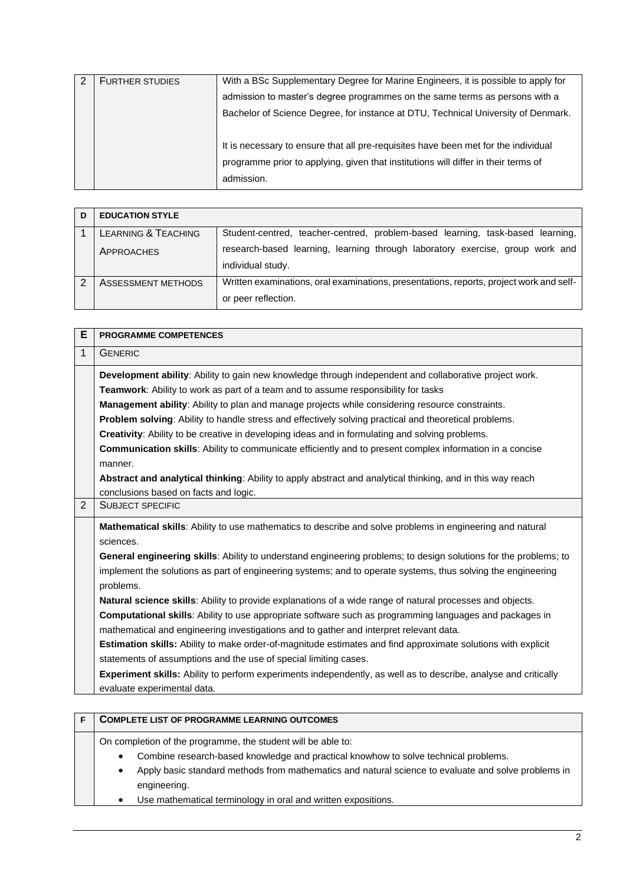| <b>FURTHER STUDIES</b> | With a BSc Supplementary Degree for Marine Engineers, it is possible to apply for                                                                                                      |
|------------------------|----------------------------------------------------------------------------------------------------------------------------------------------------------------------------------------|
|                        | admission to master's degree programmes on the same terms as persons with a                                                                                                            |
|                        | Bachelor of Science Degree, for instance at DTU, Technical University of Denmark.                                                                                                      |
|                        | It is necessary to ensure that all pre-requisites have been met for the individual<br>programme prior to applying, given that institutions will differ in their terms of<br>admission. |

| D | <b>EDUCATION STYLE</b> |                                                                                                                |
|---|------------------------|----------------------------------------------------------------------------------------------------------------|
|   | LEARNING & TEACHING    | Student-centred, teacher-centred, problem-based learning, task-based learning,                                 |
|   | APPROACHES             | research-based learning, learning through laboratory exercise, group work and<br>individual study.             |
|   | ASSESSMENT METHODS     | Written examinations, oral examinations, presentations, reports, project work and self-<br>or peer reflection. |

| Е              | <b>PROGRAMME COMPETENCES</b>                                                                                                                                                                                                                                                                                                                                                                                                                                                                                                                                                                                                                                                                                                                                                                                   |
|----------------|----------------------------------------------------------------------------------------------------------------------------------------------------------------------------------------------------------------------------------------------------------------------------------------------------------------------------------------------------------------------------------------------------------------------------------------------------------------------------------------------------------------------------------------------------------------------------------------------------------------------------------------------------------------------------------------------------------------------------------------------------------------------------------------------------------------|
| 1              | <b>GENERIC</b>                                                                                                                                                                                                                                                                                                                                                                                                                                                                                                                                                                                                                                                                                                                                                                                                 |
|                | Development ability: Ability to gain new knowledge through independent and collaborative project work.<br>Teamwork: Ability to work as part of a team and to assume responsibility for tasks<br><b>Management ability:</b> Ability to plan and manage projects while considering resource constraints.<br>Problem solving: Ability to handle stress and effectively solving practical and theoretical problems.<br><b>Creativity:</b> Ability to be creative in developing ideas and in formulating and solving problems.<br><b>Communication skills:</b> Ability to communicate efficiently and to present complex information in a concise<br>manner.<br>Abstract and analytical thinking: Ability to apply abstract and analytical thinking, and in this way reach<br>conclusions based on facts and logic. |
| $\overline{2}$ | <b>SUBJECT SPECIFIC</b>                                                                                                                                                                                                                                                                                                                                                                                                                                                                                                                                                                                                                                                                                                                                                                                        |
|                | Mathematical skills: Ability to use mathematics to describe and solve problems in engineering and natural<br>sciences.<br>General engineering skills: Ability to understand engineering problems; to design solutions for the problems; to<br>implement the solutions as part of engineering systems; and to operate systems, thus solving the engineering<br>problems.<br>Natural science skills: Ability to provide explanations of a wide range of natural processes and objects.<br><b>Computational skills:</b> Ability to use appropriate software such as programming languages and packages in                                                                                                                                                                                                         |
|                | mathematical and engineering investigations and to gather and interpret relevant data.<br><b>Estimation skills:</b> Ability to make order-of-magnitude estimates and find approximate solutions with explicit<br>statements of assumptions and the use of special limiting cases.<br><b>Experiment skills:</b> Ability to perform experiments independently, as well as to describe, analyse and critically<br>evaluate experimental data.                                                                                                                                                                                                                                                                                                                                                                     |

| <b>COMPLETE LIST OF PROGRAMME LEARNING OUTCOMES</b>                                                                                                                                                                                                             |  |
|-----------------------------------------------------------------------------------------------------------------------------------------------------------------------------------------------------------------------------------------------------------------|--|
| On completion of the programme, the student will be able to:<br>Combine research-based knowledge and practical knowhow to solve technical problems.<br>٠<br>Apply basic standard methods from mathematics and natural science to evaluate and solve problems in |  |
| engineering.<br>Use mathematical terminology in oral and written expositions.                                                                                                                                                                                   |  |